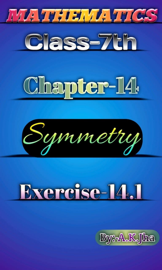





Symmetry

## Exercise-14.1

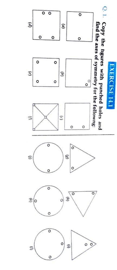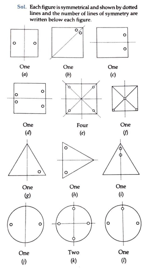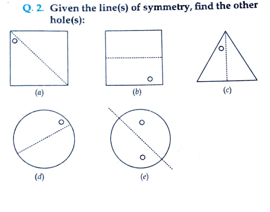Q. 2. Given the line(s) of symmetry, find the other hole(s):

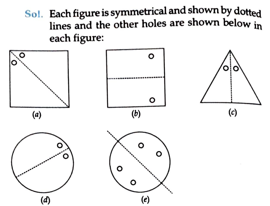Sol. Each figure is symmetrical and shown by dotted lines and the other holes are shown below in each figure:

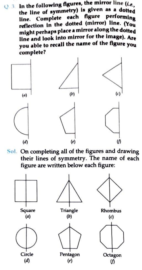$Q.3$ . In the following figures, the mirror line (i.e., the line of symmetry) is given as a dotted line. Complete each figure performing<br>reflection in the dotted (mirror) line. (You might perhaps placea mirror along the dotted line and look into mirror for the image). Are you able to recall the name of the figure you complete



Sol. On completing all of the figures and drawing their lines of symmetry. The name of each figure are written below each figure:

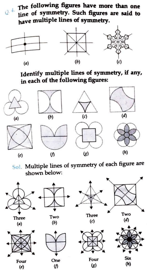The following figures have more than one line of symmetry. Such figures are said to have multiple lines of symmetry.



Identify multiple lines of symmetry, if any, in each of the following figures:



Sol. Multiple lines of symmetry of each figure are shown below:

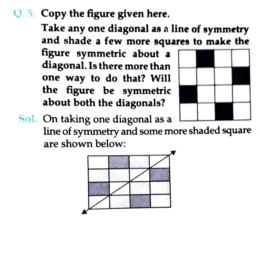## Q.5. Copy the figure given here.

Take any one diagonal as a line of symmetry and shade a few more squares to make the

figure symmetric about a diagonal. Is there more than one way to do that? Will the figure be symmetric about both the diagonals?



Sol. On taking one diagonal as a line of symmetry and some more shaded square are shown below: